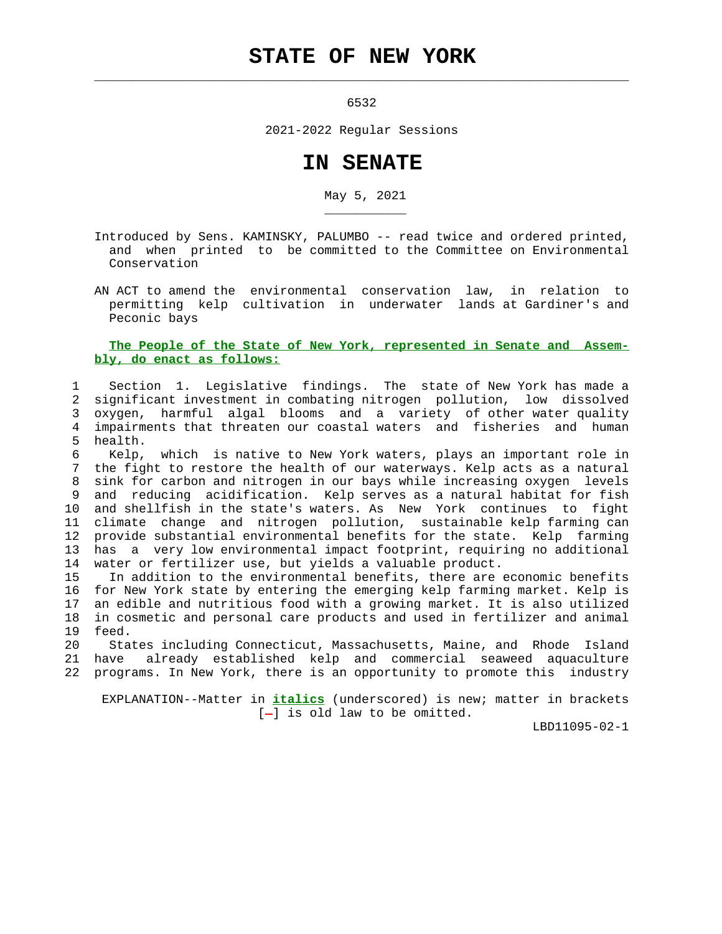## **STATE OF NEW YORK**

6532

 $\mathcal{L}_\text{max} = \frac{1}{2} \sum_{i=1}^{n} \frac{1}{2} \sum_{i=1}^{n} \frac{1}{2} \sum_{i=1}^{n} \frac{1}{2} \sum_{i=1}^{n} \frac{1}{2} \sum_{i=1}^{n} \frac{1}{2} \sum_{i=1}^{n} \frac{1}{2} \sum_{i=1}^{n} \frac{1}{2} \sum_{i=1}^{n} \frac{1}{2} \sum_{i=1}^{n} \frac{1}{2} \sum_{i=1}^{n} \frac{1}{2} \sum_{i=1}^{n} \frac{1}{2} \sum_{i=1}^{n} \frac{1$ 

\_\_\_\_\_\_\_\_\_\_\_

2021-2022 Regular Sessions

## **IN SENATE**

May 5, 2021

 Introduced by Sens. KAMINSKY, PALUMBO -- read twice and ordered printed, and when printed to be committed to the Committee on Environmental Conservation

 AN ACT to amend the environmental conservation law, in relation to permitting kelp cultivation in underwater lands at Gardiner's and Peconic bays

## **The People of the State of New York, represented in Senate and Assem bly, do enact as follows:**

 1 Section 1. Legislative findings. The state of New York has made a 2 significant investment in combating nitrogen pollution, low dissolved 3 oxygen, harmful algal blooms and a variety of other water quality 4 impairments that threaten our coastal waters and fisheries and human 5 health.

 6 Kelp, which is native to New York waters, plays an important role in 7 the fight to restore the health of our waterways. Kelp acts as a natural 8 sink for carbon and nitrogen in our bays while increasing oxygen levels 9 and reducing acidification. Kelp serves as a natural habitat for fish 10 and shellfish in the state's waters. As New York continues to fight 11 climate change and nitrogen pollution, sustainable kelp farming can 12 provide substantial environmental benefits for the state. Kelp farming 13 has a very low environmental impact footprint, requiring no additional 14 water or fertilizer use, but yields a valuable product.

 15 In addition to the environmental benefits, there are economic benefits 16 for New York state by entering the emerging kelp farming market. Kelp is 17 an edible and nutritious food with a growing market. It is also utilized 18 in cosmetic and personal care products and used in fertilizer and animal 19 feed.

 20 States including Connecticut, Massachusetts, Maine, and Rhode Island already established kelp and commercial seaweed aquaculture 22 programs. In New York, there is an opportunity to promote this industry

 EXPLANATION--Matter in **italics** (underscored) is new; matter in brackets  $[-]$  is old law to be omitted.

LBD11095-02-1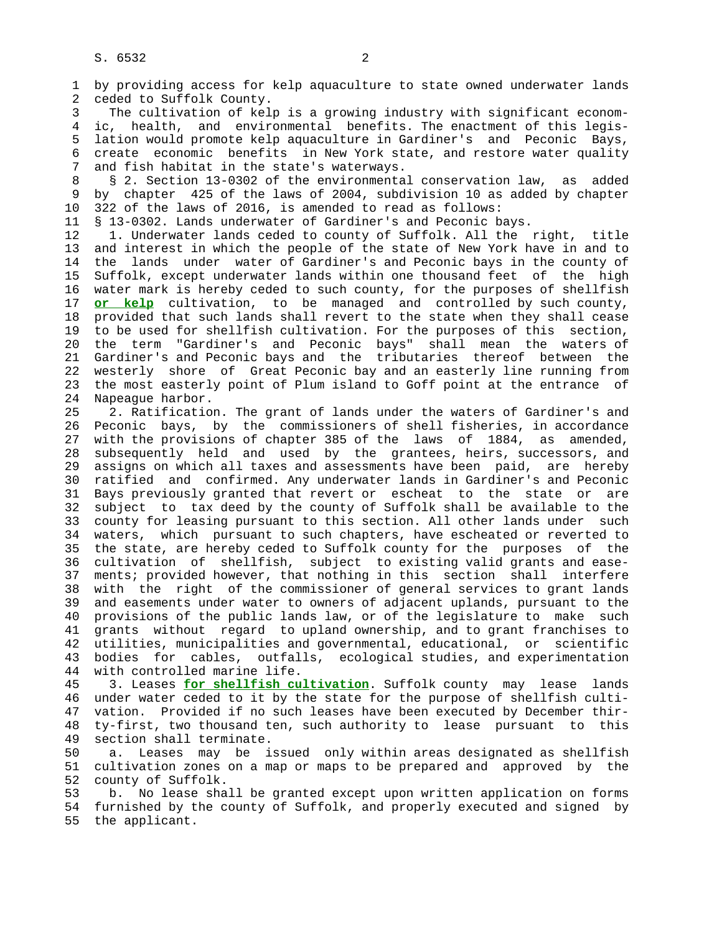1 by providing access for kelp aquaculture to state owned underwater lands 2 ceded to Suffolk County.

 3 The cultivation of kelp is a growing industry with significant econom- 4 ic, health, and environmental benefits. The enactment of this legis- 5 lation would promote kelp aquaculture in Gardiner's and Peconic Bays, 6 create economic benefits in New York state, and restore water quality 7 and fish habitat in the state's waterways.

8 § 2. Section 13-0302 of the environmental conservation law, as added<br>9 by chapter 425 of the laws of 2004, subdivision 10 as added by chapter 9 by chapter 425 of the laws of 2004, subdivision 10 as added by chapter 10 322 of the laws of 2016, is amended to read as follows:

11 § 13-0302. Lands underwater of Gardiner's and Peconic bays.

 12 1. Underwater lands ceded to county of Suffolk. All the right, title 13 and interest in which the people of the state of New York have in and to 14 the lands under water of Gardiner's and Peconic bays in the county of 15 Suffolk, except underwater lands within one thousand feet of the high 16 water mark is hereby ceded to such county, for the purposes of shellfish 17 **or kelp** cultivation, to be managed and controlled by such county, 18 provided that such lands shall revert to the state when they shall cease 19 to be used for shellfish cultivation. For the purposes of this section, 20 the term "Gardiner's and Peconic bays" shall mean the waters of 21 Gardiner's and Peconic bays and the tributaries thereof between the 22 westerly shore of Great Peconic bay and an easterly line running from 23 the most easterly point of Plum island to Goff point at the entrance of 24 Napeague harbor.

 25 2. Ratification. The grant of lands under the waters of Gardiner's and 26 Peconic bays, by the commissioners of shell fisheries, in accordance 27 with the provisions of chapter 385 of the laws of 1884, as amended, 28 subsequently held and used by the grantees, heirs, successors, and 29 assigns on which all taxes and assessments have been paid, are hereby 30 ratified and confirmed. Any underwater lands in Gardiner's and Peconic 31 Bays previously granted that revert or escheat to the state or are 32 subject to tax deed by the county of Suffolk shall be available to the 33 county for leasing pursuant to this section. All other lands under such 34 waters, which pursuant to such chapters, have escheated or reverted to 35 the state, are hereby ceded to Suffolk county for the purposes of the 36 cultivation of shellfish, subject to existing valid grants and ease- 37 ments; provided however, that nothing in this section shall interfere 38 with the right of the commissioner of general services to grant lands 39 and easements under water to owners of adjacent uplands, pursuant to the 40 provisions of the public lands law, or of the legislature to make such 41 grants without regard to upland ownership, and to grant franchises to 42 utilities, municipalities and governmental, educational, or scientific 43 bodies for cables, outfalls, ecological studies, and experimentation 44 with controlled marine life.

 45 3. Leases **for shellfish cultivation**. Suffolk county may lease lands 46 under water ceded to it by the state for the purpose of shellfish culti- 47 vation. Provided if no such leases have been executed by December thir- 48 ty-first, two thousand ten, such authority to lease pursuant to this 49 section shall terminate.

 50 a. Leases may be issued only within areas designated as shellfish 51 cultivation zones on a map or maps to be prepared and approved by the 52 county of Suffolk.

 53 b. No lease shall be granted except upon written application on forms 54 furnished by the county of Suffolk, and properly executed and signed by 55 the applicant.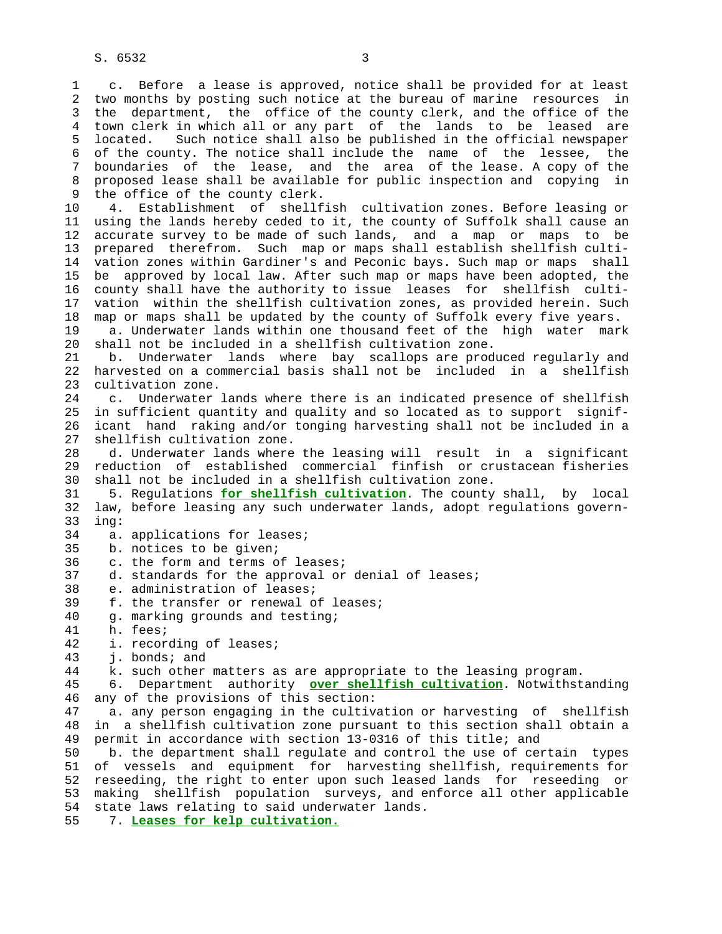1 c. Before a lease is approved, notice shall be provided for at least 2 two months by posting such notice at the bureau of marine resources in 3 the department, the office of the county clerk, and the office of the 4 town clerk in which all or any part of the lands to be leased are 5 located. Such notice shall also be published in the official newspaper 6 of the county. The notice shall include the name of the lessee, the 7 boundaries of the lease, and the area of the lease. A copy of the 8 proposed lease shall be available for public inspection and copying in<br>9 the office of the county clerk. the office of the county clerk.

 10 4. Establishment of shellfish cultivation zones. Before leasing or 11 using the lands hereby ceded to it, the county of Suffolk shall cause an 12 accurate survey to be made of such lands, and a map or maps to be 13 prepared therefrom. Such map or maps shall establish shellfish culti- 14 vation zones within Gardiner's and Peconic bays. Such map or maps shall 15 be approved by local law. After such map or maps have been adopted, the 16 county shall have the authority to issue leases for shellfish culti- 17 vation within the shellfish cultivation zones, as provided herein. Such 18 map or maps shall be updated by the county of Suffolk every five years.

 19 a. Underwater lands within one thousand feet of the high water mark 20 shall not be included in a shellfish cultivation zone.

 21 b. Underwater lands where bay scallops are produced regularly and 22 harvested on a commercial basis shall not be included in a shellfish 23 cultivation zone.

 24 c. Underwater lands where there is an indicated presence of shellfish 25 in sufficient quantity and quality and so located as to support signif- 26 icant hand raking and/or tonging harvesting shall not be included in a 27 shellfish cultivation zone.

 28 d. Underwater lands where the leasing will result in a significant 29 reduction of established commercial finfish or crustacean fisheries 30 shall not be included in a shellfish cultivation zone.

 31 5. Regulations **for shellfish cultivation**. The county shall, by local 32 law, before leasing any such underwater lands, adopt regulations govern- 33 ing:

34 a. applications for leases;

35 b. notices to be given;

36 c. the form and terms of leases;

37 d. standards for the approval or denial of leases;

38 e. administration of leases;

39 f. the transfer or renewal of leases;

- 40 g. marking grounds and testing;
- 41 h. fees;
- 42 i. recording of leases;

43 j. bonds; and

44 k. such other matters as are appropriate to the leasing program.

 45 6. Department authority **over shellfish cultivation**. Notwithstanding 46 any of the provisions of this section:

 47 a. any person engaging in the cultivation or harvesting of shellfish 48 in a shellfish cultivation zone pursuant to this section shall obtain a 49 permit in accordance with section 13-0316 of this title; and

 50 b. the department shall regulate and control the use of certain types 51 of vessels and equipment for harvesting shellfish, requirements for 52 reseeding, the right to enter upon such leased lands for reseeding or 53 making shellfish population surveys, and enforce all other applicable 54 state laws relating to said underwater lands.

55 7. **Leases for kelp cultivation.**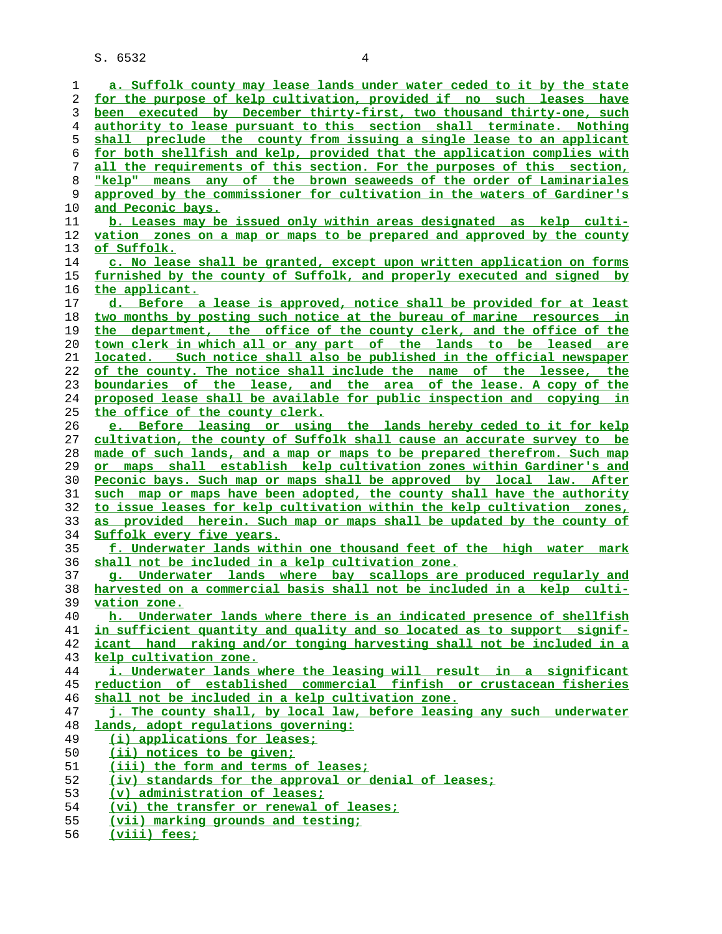S. 6532 4

**a. Suffolk county may lease lands under water ceded to it by the state for the purpose of kelp cultivation, provided if no such leases have been executed by December thirty-first, two thousand thirty-one, such authority to lease pursuant to this section shall terminate. Nothing shall preclude the county from issuing a single lease to an applicant for both shellfish and kelp, provided that the application complies with all the requirements of this section. For the purposes of this section, "kelp" means any of the brown seaweeds of the order of Laminariales approved by the commissioner for cultivation in the waters of Gardiner's and Peconic bays. b. Leases may be issued only within areas designated as kelp culti- vation zones on a map or maps to be prepared and approved by the county of Suffolk. c. No lease shall be granted, except upon written application on forms furnished by the county of Suffolk, and properly executed and signed by the applicant. d. Before a lease is approved, notice shall be provided for at least two months by posting such notice at the bureau of marine resources in the department, the office of the county clerk, and the office of the town clerk in which all or any part of the lands to be leased are located. Such notice shall also be published in the official newspaper of the county. The notice shall include the name of the lessee, the boundaries of the lease, and the area of the lease. A copy of the proposed lease shall be available for public inspection and copying in the office of the county clerk. e. Before leasing or using the lands hereby ceded to it for kelp cultivation, the county of Suffolk shall cause an accurate survey to be made of such lands, and a map or maps to be prepared therefrom. Such map or maps shall establish kelp cultivation zones within Gardiner's and Peconic bays. Such map or maps shall be approved by local law. After such map or maps have been adopted, the county shall have the authority to issue leases for kelp cultivation within the kelp cultivation zones, as provided herein. Such map or maps shall be updated by the county of Suffolk every five years. f. Underwater lands within one thousand feet of the high water mark shall not be included in a kelp cultivation zone. g. Underwater lands where bay scallops are produced regularly and harvested on a commercial basis shall not be included in a kelp culti- vation zone. h. Underwater lands where there is an indicated presence of shellfish in sufficient quantity and quality and so located as to support signif- icant hand raking and/or tonging harvesting shall not be included in a kelp cultivation zone. i. Underwater lands where the leasing will result in a significant reduction of established commercial finfish or crustacean fisheries shall not be included in a kelp cultivation zone. j. The county shall, by local law, before leasing any such underwater lands, adopt regulations governing: (i) applications for leases; (ii) notices to be given; (iii) the form and terms of leases; (iv) standards for the approval or denial of leases; (v) administration of leases; (vi) the transfer or renewal of leases; (vii) marking grounds and testing; (viii) fees;**